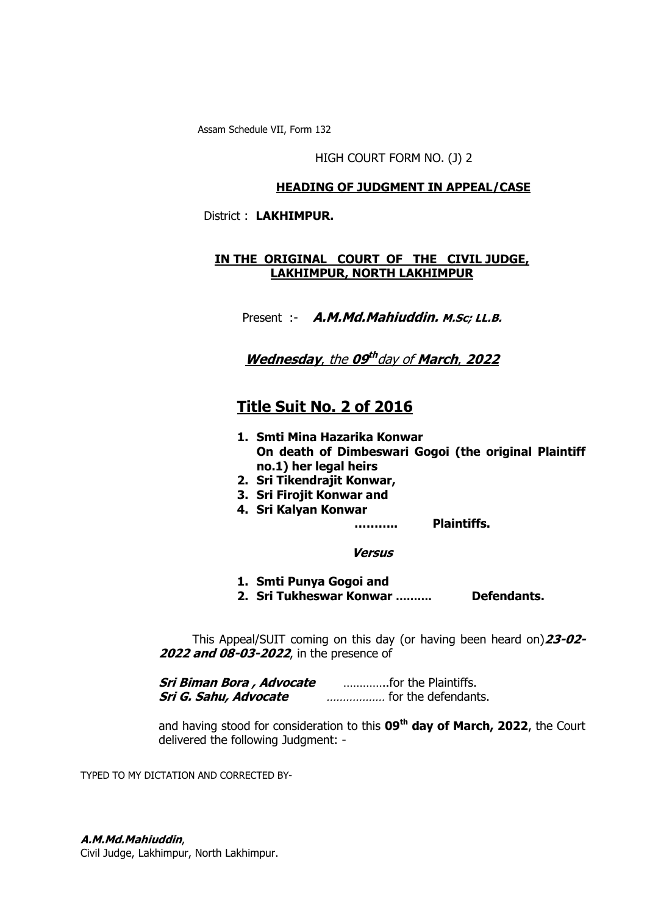Assam Schedule VII, Form 132

HIGH COURT FORM NO. (J) 2

### **HEADING OF JUDGMENT IN APPEAL/CASE**

District : **LAKHIMPUR.**

### **IN THE ORIGINAL COURT OF THE CIVIL JUDGE, LAKHIMPUR, NORTH LAKHIMPUR**

Present :- **A.M.Md.Mahiuddin. M.Sc; LL.B.** 

**Wednesday**, the **09 th** day of **March**, **2022**

# **Title Suit No. 2 of 2016**

- **1. Smti Mina Hazarika Konwar On death of Dimbeswari Gogoi (the original Plaintiff no.1) her legal heirs**
- **2. Sri Tikendrajit Konwar,**
- **3. Sri Firojit Konwar and**
- **4. Sri Kalyan Konwar**

**……….. Plaintiffs.**

#### **Versus**

- **1. Smti Punya Gogoi and**
- **2. Sri Tukheswar Konwar ………. Defendants.**

 This Appeal/SUIT coming on this day (or having been heard on)**23-02- 2022 and 08-03-2022**, in the presence of

**Sri Biman Bora , Advocate** …………..for the Plaintiffs. **Sri G. Sahu, Advocate** ……………… for the defendants.

and having stood for consideration to this **09 th day of March, 2022**, the Court delivered the following Judgment: -

TYPED TO MY DICTATION AND CORRECTED BY-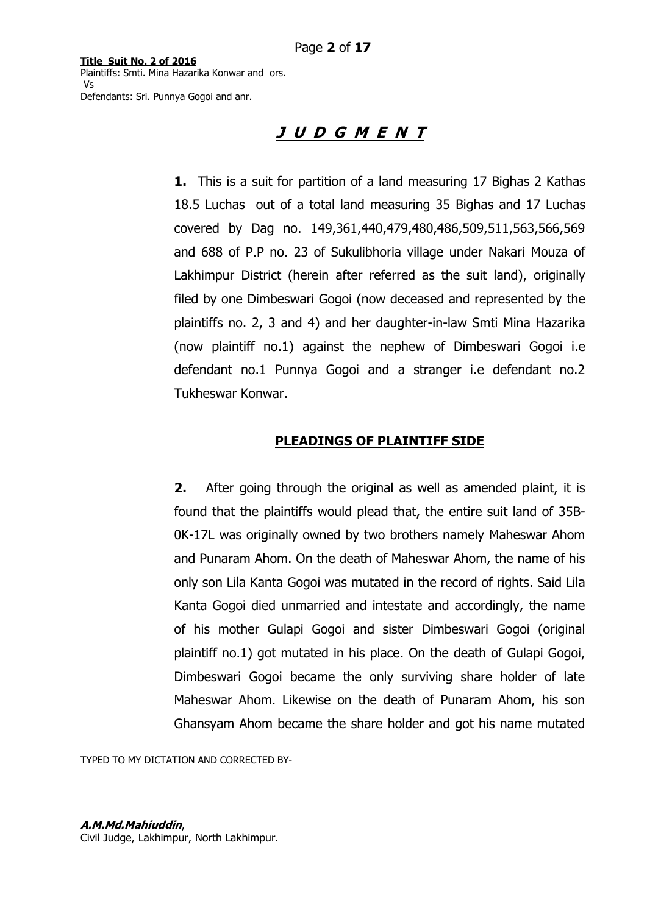# **J U D G M E N T**

**1.** This is a suit for partition of a land measuring 17 Bighas 2 Kathas 18.5 Luchas out of a total land measuring 35 Bighas and 17 Luchas covered by Dag no. 149,361,440,479,480,486,509,511,563,566,569 and 688 of P.P no. 23 of Sukulibhoria village under Nakari Mouza of Lakhimpur District (herein after referred as the suit land), originally filed by one Dimbeswari Gogoi (now deceased and represented by the plaintiffs no. 2, 3 and 4) and her daughter-in-law Smti Mina Hazarika (now plaintiff no.1) against the nephew of Dimbeswari Gogoi i.e defendant no.1 Punnya Gogoi and a stranger i.e defendant no.2 Tukheswar Konwar.

### **PLEADINGS OF PLAINTIFF SIDE**

**2.** After going through the original as well as amended plaint, it is found that the plaintiffs would plead that, the entire suit land of 35B-0K-17L was originally owned by two brothers namely Maheswar Ahom and Punaram Ahom. On the death of Maheswar Ahom, the name of his only son Lila Kanta Gogoi was mutated in the record of rights. Said Lila Kanta Gogoi died unmarried and intestate and accordingly, the name of his mother Gulapi Gogoi and sister Dimbeswari Gogoi (original plaintiff no.1) got mutated in his place. On the death of Gulapi Gogoi, Dimbeswari Gogoi became the only surviving share holder of late Maheswar Ahom. Likewise on the death of Punaram Ahom, his son Ghansyam Ahom became the share holder and got his name mutated

TYPED TO MY DICTATION AND CORRECTED BY-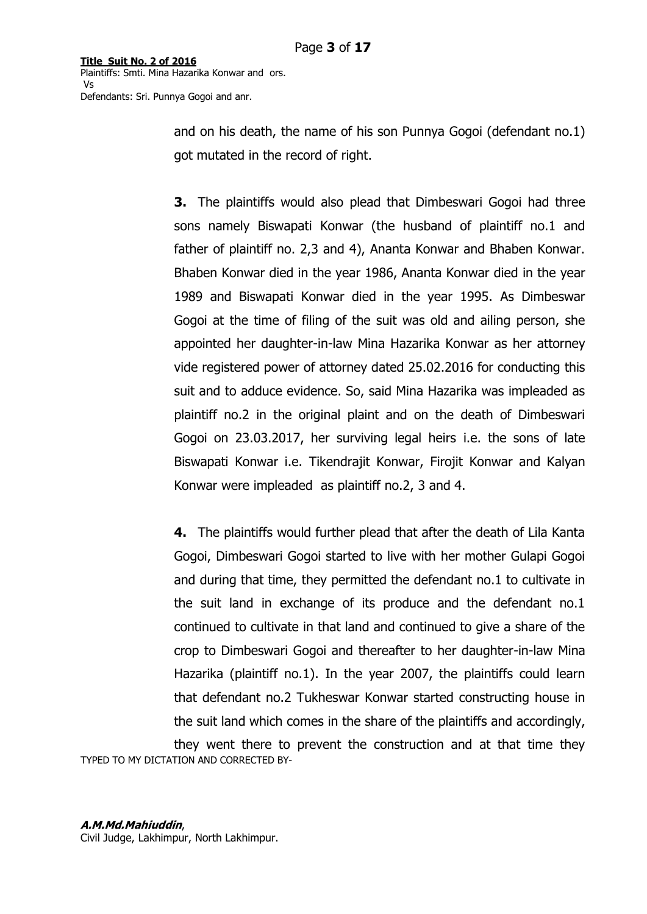> and on his death, the name of his son Punnya Gogoi (defendant no.1) got mutated in the record of right.

> **3.** The plaintiffs would also plead that Dimbeswari Gogoi had three sons namely Biswapati Konwar (the husband of plaintiff no.1 and father of plaintiff no. 2,3 and 4), Ananta Konwar and Bhaben Konwar. Bhaben Konwar died in the year 1986, Ananta Konwar died in the year 1989 and Biswapati Konwar died in the year 1995. As Dimbeswar Gogoi at the time of filing of the suit was old and ailing person, she appointed her daughter-in-law Mina Hazarika Konwar as her attorney vide registered power of attorney dated 25.02.2016 for conducting this suit and to adduce evidence. So, said Mina Hazarika was impleaded as plaintiff no.2 in the original plaint and on the death of Dimbeswari Gogoi on 23.03.2017, her surviving legal heirs i.e. the sons of late Biswapati Konwar i.e. Tikendrajit Konwar, Firojit Konwar and Kalyan Konwar were impleaded as plaintiff no.2, 3 and 4.

> **4.** The plaintiffs would further plead that after the death of Lila Kanta Gogoi, Dimbeswari Gogoi started to live with her mother Gulapi Gogoi and during that time, they permitted the defendant no.1 to cultivate in the suit land in exchange of its produce and the defendant no.1 continued to cultivate in that land and continued to give a share of the crop to Dimbeswari Gogoi and thereafter to her daughter-in-law Mina Hazarika (plaintiff no.1). In the year 2007, the plaintiffs could learn that defendant no.2 Tukheswar Konwar started constructing house in the suit land which comes in the share of the plaintiffs and accordingly, they went there to prevent the construction and at that time they

TYPED TO MY DICTATION AND CORRECTED BY-

#### **A.M.Md.Mahiuddin**,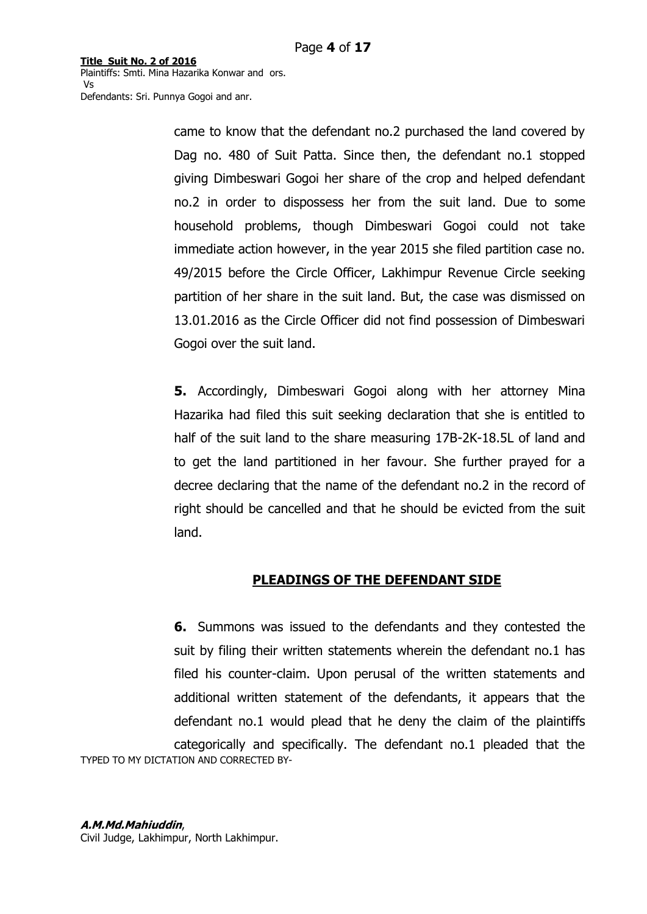**Title Suit No. 2 of 2016** Plaintiffs: Smti. Mina Hazarika Konwar and ors. Vs

Defendants: Sri. Punnya Gogoi and anr.

came to know that the defendant no.2 purchased the land covered by Dag no. 480 of Suit Patta. Since then, the defendant no.1 stopped giving Dimbeswari Gogoi her share of the crop and helped defendant no.2 in order to dispossess her from the suit land. Due to some household problems, though Dimbeswari Gogoi could not take immediate action however, in the year 2015 she filed partition case no. 49/2015 before the Circle Officer, Lakhimpur Revenue Circle seeking partition of her share in the suit land. But, the case was dismissed on 13.01.2016 as the Circle Officer did not find possession of Dimbeswari Gogoi over the suit land.

**5.** Accordingly, Dimbeswari Gogoi along with her attorney Mina Hazarika had filed this suit seeking declaration that she is entitled to half of the suit land to the share measuring 17B-2K-18.5L of land and to get the land partitioned in her favour. She further prayed for a decree declaring that the name of the defendant no.2 in the record of right should be cancelled and that he should be evicted from the suit land.

# **PLEADINGS OF THE DEFENDANT SIDE**

TYPED TO MY DICTATION AND CORRECTED BY-**6.** Summons was issued to the defendants and they contested the suit by filing their written statements wherein the defendant no.1 has filed his counter-claim. Upon perusal of the written statements and additional written statement of the defendants, it appears that the defendant no.1 would plead that he deny the claim of the plaintiffs categorically and specifically. The defendant no.1 pleaded that the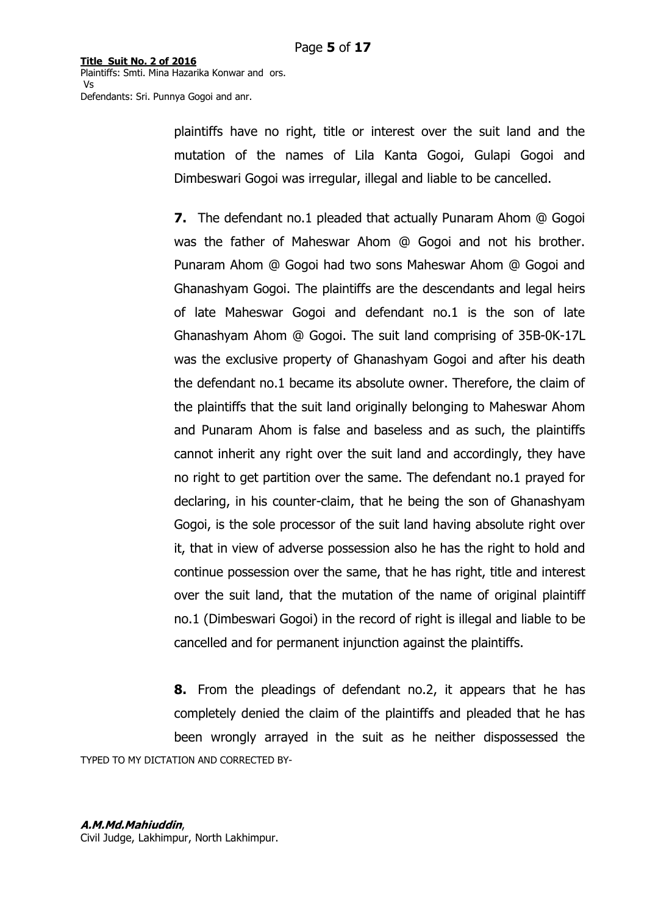> plaintiffs have no right, title or interest over the suit land and the mutation of the names of Lila Kanta Gogoi, Gulapi Gogoi and Dimbeswari Gogoi was irregular, illegal and liable to be cancelled.

> **7.** The defendant no.1 pleaded that actually Punaram Ahom @ Gogoi was the father of Maheswar Ahom @ Gogoi and not his brother. Punaram Ahom @ Gogoi had two sons Maheswar Ahom @ Gogoi and Ghanashyam Gogoi. The plaintiffs are the descendants and legal heirs of late Maheswar Gogoi and defendant no.1 is the son of late Ghanashyam Ahom @ Gogoi. The suit land comprising of 35B-0K-17L was the exclusive property of Ghanashyam Gogoi and after his death the defendant no.1 became its absolute owner. Therefore, the claim of the plaintiffs that the suit land originally belonging to Maheswar Ahom and Punaram Ahom is false and baseless and as such, the plaintiffs cannot inherit any right over the suit land and accordingly, they have no right to get partition over the same. The defendant no.1 prayed for declaring, in his counter-claim, that he being the son of Ghanashyam Gogoi, is the sole processor of the suit land having absolute right over it, that in view of adverse possession also he has the right to hold and continue possession over the same, that he has right, title and interest over the suit land, that the mutation of the name of original plaintiff no.1 (Dimbeswari Gogoi) in the record of right is illegal and liable to be cancelled and for permanent injunction against the plaintiffs.

TYPED TO MY DICTATION AND CORRECTED BY-**8.** From the pleadings of defendant no.2, it appears that he has completely denied the claim of the plaintiffs and pleaded that he has been wrongly arrayed in the suit as he neither dispossessed the

#### **A.M.Md.Mahiuddin**,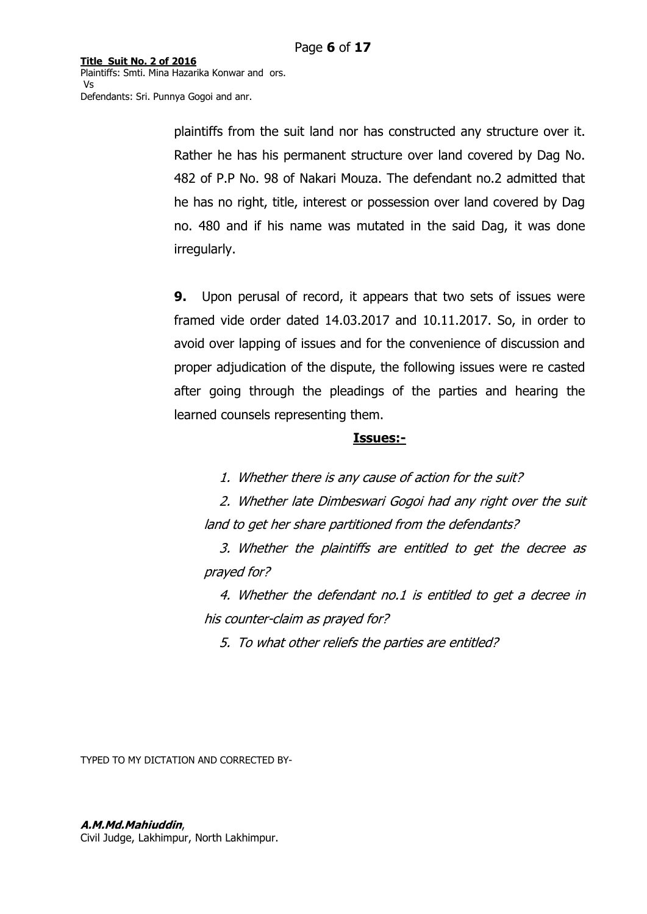> plaintiffs from the suit land nor has constructed any structure over it. Rather he has his permanent structure over land covered by Dag No. 482 of P.P No. 98 of Nakari Mouza. The defendant no.2 admitted that he has no right, title, interest or possession over land covered by Dag no. 480 and if his name was mutated in the said Dag, it was done irregularly.

> **9.** Upon perusal of record, it appears that two sets of issues were framed vide order dated 14.03.2017 and 10.11.2017. So, in order to avoid over lapping of issues and for the convenience of discussion and proper adjudication of the dispute, the following issues were re casted after going through the pleadings of the parties and hearing the learned counsels representing them.

### **Issues:-**

1. Whether there is any cause of action for the suit?

2. Whether late Dimbeswari Gogoi had any right over the suit land to get her share partitioned from the defendants?

3. Whether the plaintiffs are entitled to get the decree as prayed for?

4. Whether the defendant no.1 is entitled to get a decree in his counter-claim as prayed for?

5. To what other reliefs the parties are entitled?

TYPED TO MY DICTATION AND CORRECTED BY-

#### **A.M.Md.Mahiuddin**,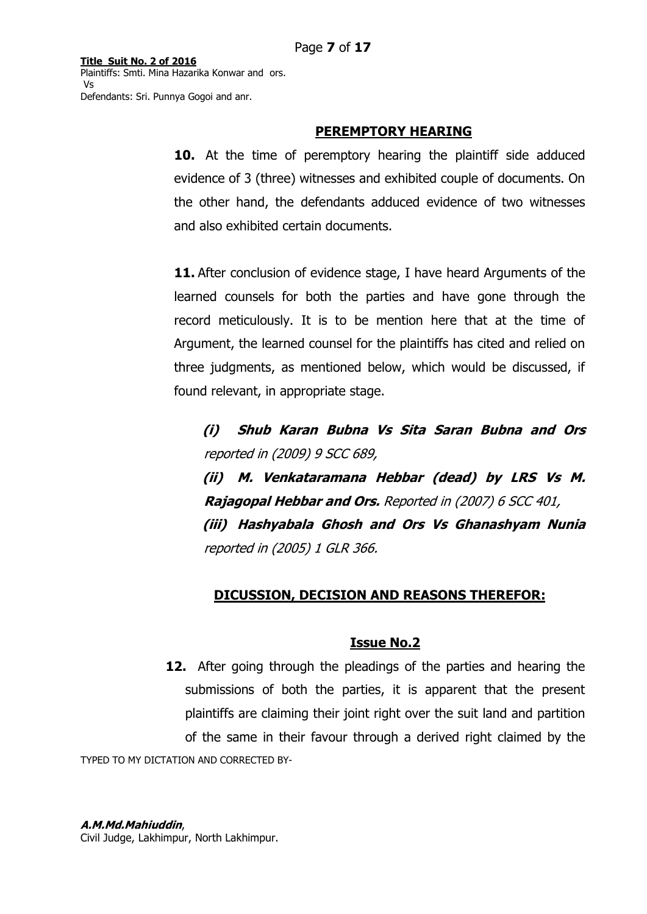## **PEREMPTORY HEARING**

**10.** At the time of peremptory hearing the plaintiff side adduced evidence of 3 (three) witnesses and exhibited couple of documents. On the other hand, the defendants adduced evidence of two witnesses and also exhibited certain documents.

**11.** After conclusion of evidence stage, I have heard Arguments of the learned counsels for both the parties and have gone through the record meticulously. It is to be mention here that at the time of Argument, the learned counsel for the plaintiffs has cited and relied on three judgments, as mentioned below, which would be discussed, if found relevant, in appropriate stage.

**(i) Shub Karan Bubna Vs Sita Saran Bubna and Ors**  reported in (2009) 9 SCC 689,

**(ii) M. Venkataramana Hebbar (dead) by LRS Vs M. Rajagopal Hebbar and Ors.** Reported in (2007) 6 SCC 401, **(iii) Hashyabala Ghosh and Ors Vs Ghanashyam Nunia**  reported in (2005) 1 GLR 366.

# **DICUSSION, DECISION AND REASONS THEREFOR:**

# **Issue No.2**

TYPED TO MY DICTATION AND CORRECTED BY-**12.** After going through the pleadings of the parties and hearing the submissions of both the parties, it is apparent that the present plaintiffs are claiming their joint right over the suit land and partition of the same in their favour through a derived right claimed by the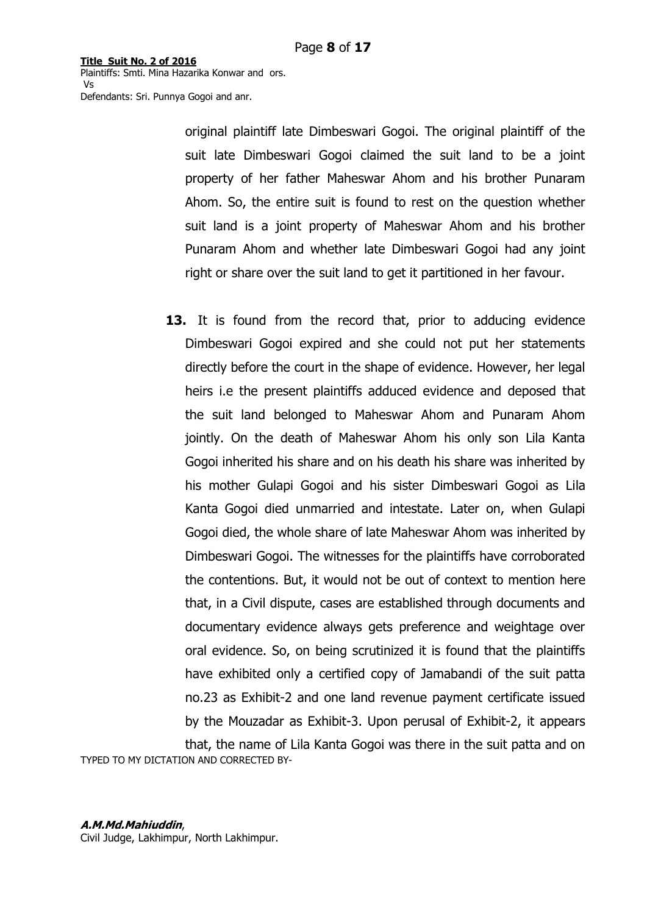> original plaintiff late Dimbeswari Gogoi. The original plaintiff of the suit late Dimbeswari Gogoi claimed the suit land to be a joint property of her father Maheswar Ahom and his brother Punaram Ahom. So, the entire suit is found to rest on the question whether suit land is a joint property of Maheswar Ahom and his brother Punaram Ahom and whether late Dimbeswari Gogoi had any joint right or share over the suit land to get it partitioned in her favour.

**13.** It is found from the record that, prior to adducing evidence Dimbeswari Gogoi expired and she could not put her statements directly before the court in the shape of evidence. However, her legal heirs i.e the present plaintiffs adduced evidence and deposed that the suit land belonged to Maheswar Ahom and Punaram Ahom jointly. On the death of Maheswar Ahom his only son Lila Kanta Gogoi inherited his share and on his death his share was inherited by his mother Gulapi Gogoi and his sister Dimbeswari Gogoi as Lila Kanta Gogoi died unmarried and intestate. Later on, when Gulapi Gogoi died, the whole share of late Maheswar Ahom was inherited by Dimbeswari Gogoi. The witnesses for the plaintiffs have corroborated the contentions. But, it would not be out of context to mention here that, in a Civil dispute, cases are established through documents and documentary evidence always gets preference and weightage over oral evidence. So, on being scrutinized it is found that the plaintiffs have exhibited only a certified copy of Jamabandi of the suit patta no.23 as Exhibit-2 and one land revenue payment certificate issued by the Mouzadar as Exhibit-3. Upon perusal of Exhibit-2, it appears that, the name of Lila Kanta Gogoi was there in the suit patta and on

TYPED TO MY DICTATION AND CORRECTED BY-

#### **A.M.Md.Mahiuddin**,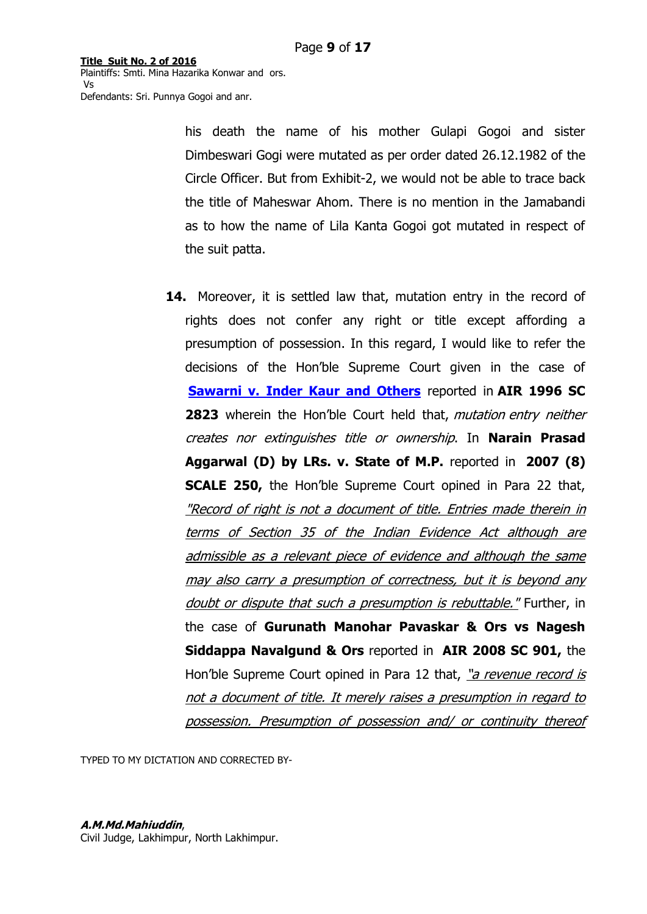> his death the name of his mother Gulapi Gogoi and sister Dimbeswari Gogi were mutated as per order dated 26.12.1982 of the Circle Officer. But from Exhibit-2, we would not be able to trace back the title of Maheswar Ahom. There is no mention in the Jamabandi as to how the name of Lila Kanta Gogoi got mutated in respect of the suit patta.

**14.** Moreover, it is settled law that, mutation entry in the record of rights does not confer any right or title except affording a presumption of possession. In this regard, I would like to refer the decisions of the Hon"ble Supreme Court given in the case of **[Sawarni v. Inder Kaur and Others](https://indiankanoon.org/doc/920180/)** reported in **AIR 1996 SC**  2823 wherein the Hon'ble Court held that, mutation entry neither creates nor extinguishes title or ownership. In **Narain Prasad Aggarwal (D) by LRs. v. State of M.P.** reported in **2007 (8) SCALE 250,** the Hon"ble Supreme Court opined in Para 22 that, "Record of right is not a document of title. Entries made therein in terms of Section 35 of the Indian Evidence Act although are admissible as a relevant piece of evidence and although the same may also carry a presumption of correctness, but it is beyond any doubt or dispute that such a presumption is rebuttable." Further, in the case of **Gurunath Manohar Pavaskar & Ors vs Nagesh Siddappa Navalgund & Ors** reported in **AIR 2008 SC 901,** the Hon'ble Supreme Court opined in Para 12 that, "a revenue record is not a document of title. It merely raises a presumption in regard to possession. Presumption of possession and/ or continuity thereof

TYPED TO MY DICTATION AND CORRECTED BY-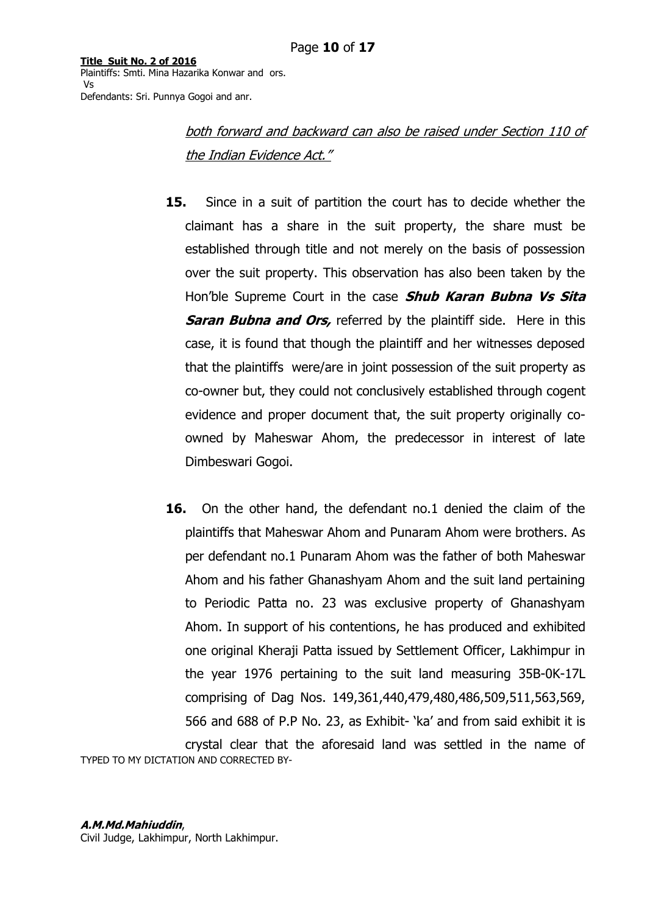> both forward and backward can also be raised under Section 110 of the Indian Evidence Act."

- **15.** Since in a suit of partition the court has to decide whether the claimant has a share in the suit property, the share must be established through title and not merely on the basis of possession over the suit property. This observation has also been taken by the Hon"ble Supreme Court in the case **Shub Karan Bubna Vs Sita Saran Bubna and Ors,** referred by the plaintiff side. Here in this case, it is found that though the plaintiff and her witnesses deposed that the plaintiffs were/are in joint possession of the suit property as co-owner but, they could not conclusively established through cogent evidence and proper document that, the suit property originally coowned by Maheswar Ahom, the predecessor in interest of late Dimbeswari Gogoi.
- TYPED TO MY DICTATION AND CORRECTED BY-**16.** On the other hand, the defendant no.1 denied the claim of the plaintiffs that Maheswar Ahom and Punaram Ahom were brothers. As per defendant no.1 Punaram Ahom was the father of both Maheswar Ahom and his father Ghanashyam Ahom and the suit land pertaining to Periodic Patta no. 23 was exclusive property of Ghanashyam Ahom. In support of his contentions, he has produced and exhibited one original Kheraji Patta issued by Settlement Officer, Lakhimpur in the year 1976 pertaining to the suit land measuring 35B-0K-17L comprising of Dag Nos. 149,361,440,479,480,486,509,511,563,569, 566 and 688 of P.P No. 23, as Exhibit- "ka" and from said exhibit it is crystal clear that the aforesaid land was settled in the name of

#### **A.M.Md.Mahiuddin**,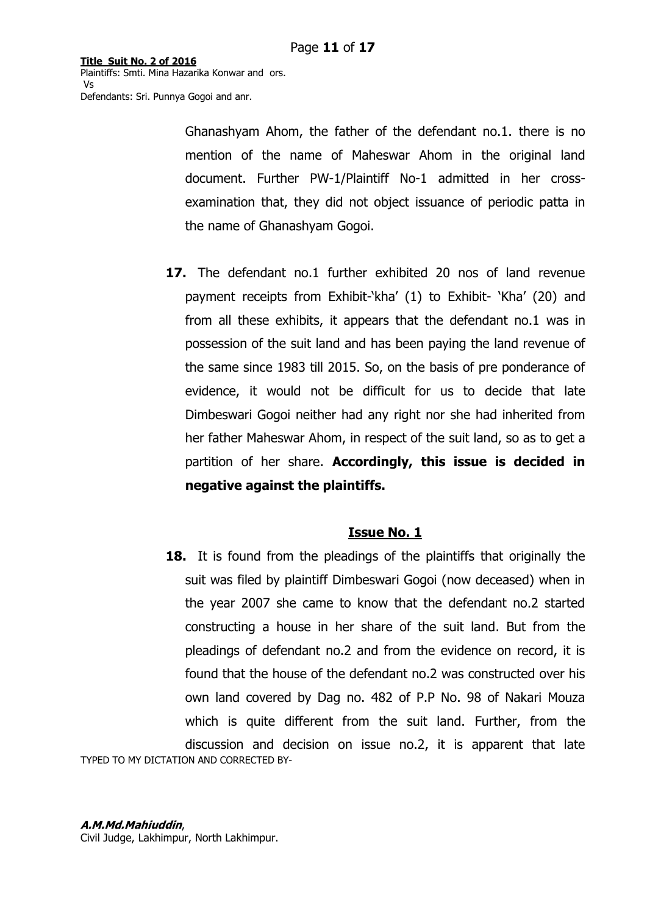> Ghanashyam Ahom, the father of the defendant no.1. there is no mention of the name of Maheswar Ahom in the original land document. Further PW-1/Plaintiff No-1 admitted in her crossexamination that, they did not object issuance of periodic patta in the name of Ghanashyam Gogoi.

**17.** The defendant no.1 further exhibited 20 nos of land revenue payment receipts from Exhibit-'kha' (1) to Exhibit- 'Kha' (20) and from all these exhibits, it appears that the defendant no.1 was in possession of the suit land and has been paying the land revenue of the same since 1983 till 2015. So, on the basis of pre ponderance of evidence, it would not be difficult for us to decide that late Dimbeswari Gogoi neither had any right nor she had inherited from her father Maheswar Ahom, in respect of the suit land, so as to get a partition of her share. **Accordingly, this issue is decided in negative against the plaintiffs.** 

# **Issue No. 1**

TYPED TO MY DICTATION AND CORRECTED BY-**18.** It is found from the pleadings of the plaintiffs that originally the suit was filed by plaintiff Dimbeswari Gogoi (now deceased) when in the year 2007 she came to know that the defendant no.2 started constructing a house in her share of the suit land. But from the pleadings of defendant no.2 and from the evidence on record, it is found that the house of the defendant no.2 was constructed over his own land covered by Dag no. 482 of P.P No. 98 of Nakari Mouza which is quite different from the suit land. Further, from the discussion and decision on issue no.2, it is apparent that late

#### **A.M.Md.Mahiuddin**,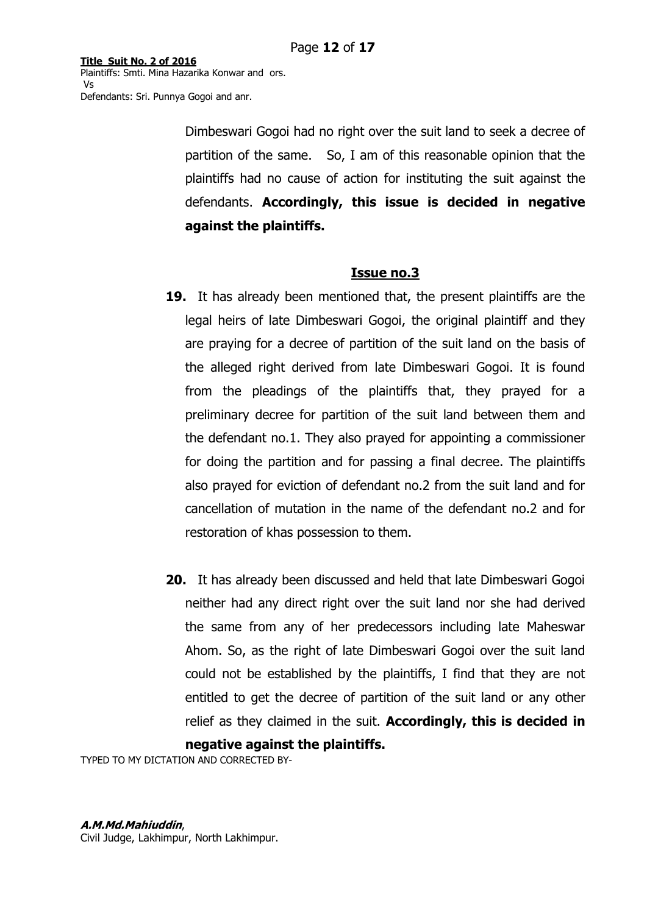> Dimbeswari Gogoi had no right over the suit land to seek a decree of partition of the same. So, I am of this reasonable opinion that the plaintiffs had no cause of action for instituting the suit against the defendants. **Accordingly, this issue is decided in negative against the plaintiffs.**

# **Issue no.3**

- **19.** It has already been mentioned that, the present plaintiffs are the legal heirs of late Dimbeswari Gogoi, the original plaintiff and they are praying for a decree of partition of the suit land on the basis of the alleged right derived from late Dimbeswari Gogoi. It is found from the pleadings of the plaintiffs that, they prayed for a preliminary decree for partition of the suit land between them and the defendant no.1. They also prayed for appointing a commissioner for doing the partition and for passing a final decree. The plaintiffs also prayed for eviction of defendant no.2 from the suit land and for cancellation of mutation in the name of the defendant no.2 and for restoration of khas possession to them.
- **20.** It has already been discussed and held that late Dimbeswari Gogoi neither had any direct right over the suit land nor she had derived the same from any of her predecessors including late Maheswar Ahom. So, as the right of late Dimbeswari Gogoi over the suit land could not be established by the plaintiffs, I find that they are not entitled to get the decree of partition of the suit land or any other relief as they claimed in the suit. **Accordingly, this is decided in**

**negative against the plaintiffs.** 

TYPED TO MY DICTATION AND CORRECTED BY-

#### **A.M.Md.Mahiuddin**,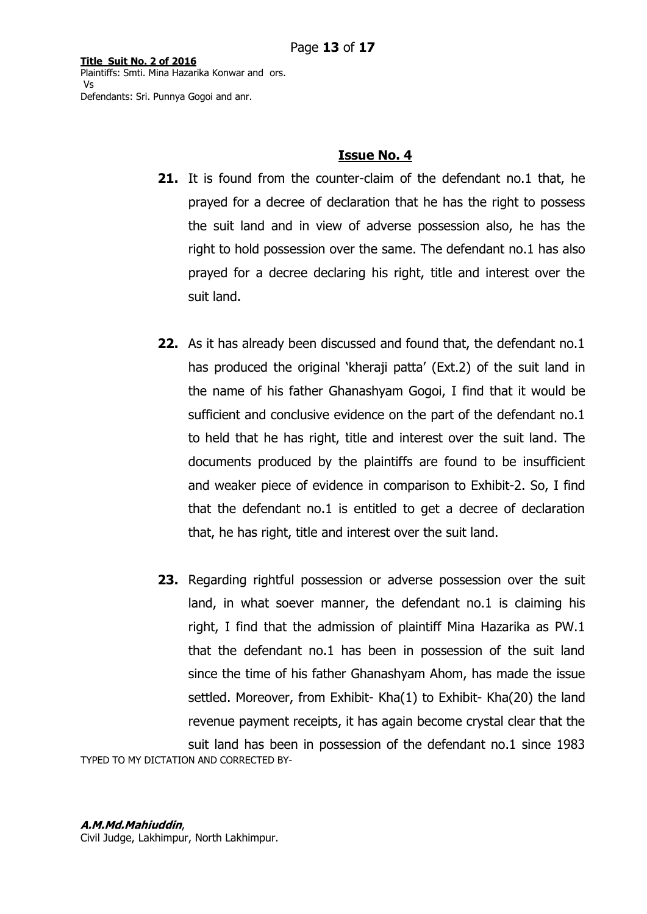### **Issue No. 4**

- **21.** It is found from the counter-claim of the defendant no.1 that, he prayed for a decree of declaration that he has the right to possess the suit land and in view of adverse possession also, he has the right to hold possession over the same. The defendant no.1 has also prayed for a decree declaring his right, title and interest over the suit land.
- **22.** As it has already been discussed and found that, the defendant no.1 has produced the original 'kheraji patta' (Ext.2) of the suit land in the name of his father Ghanashyam Gogoi, I find that it would be sufficient and conclusive evidence on the part of the defendant no.1 to held that he has right, title and interest over the suit land. The documents produced by the plaintiffs are found to be insufficient and weaker piece of evidence in comparison to Exhibit-2. So, I find that the defendant no.1 is entitled to get a decree of declaration that, he has right, title and interest over the suit land.
- TYPED TO MY DICTATION AND CORRECTED BY-**23.** Regarding rightful possession or adverse possession over the suit land, in what soever manner, the defendant no.1 is claiming his right, I find that the admission of plaintiff Mina Hazarika as PW.1 that the defendant no.1 has been in possession of the suit land since the time of his father Ghanashyam Ahom, has made the issue settled. Moreover, from Exhibit- Kha(1) to Exhibit- Kha(20) the land revenue payment receipts, it has again become crystal clear that the suit land has been in possession of the defendant no.1 since 1983

#### **A.M.Md.Mahiuddin**,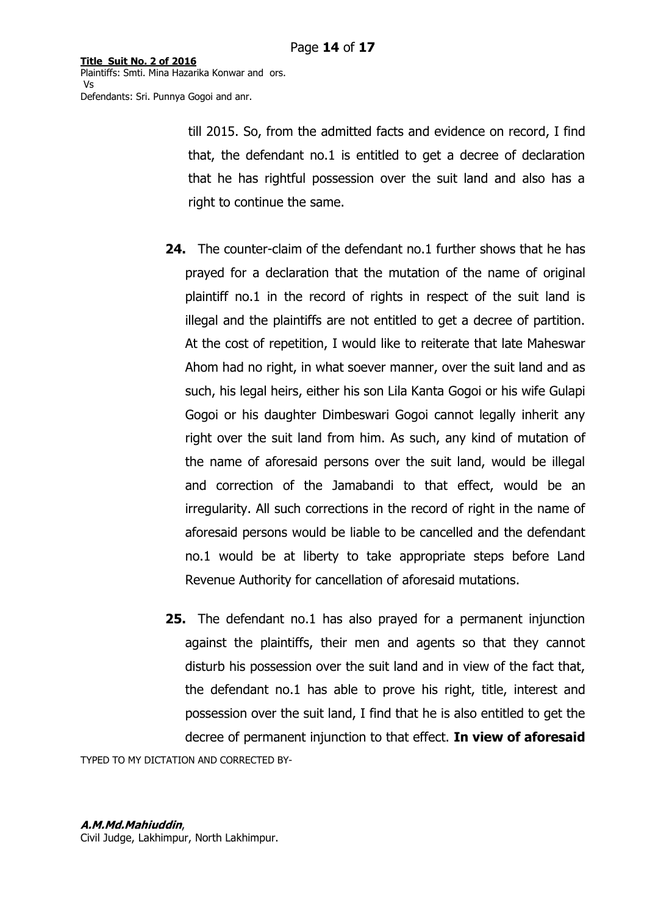> till 2015. So, from the admitted facts and evidence on record, I find that, the defendant no.1 is entitled to get a decree of declaration that he has rightful possession over the suit land and also has a right to continue the same.

- **24.** The counter-claim of the defendant no.1 further shows that he has prayed for a declaration that the mutation of the name of original plaintiff no.1 in the record of rights in respect of the suit land is illegal and the plaintiffs are not entitled to get a decree of partition. At the cost of repetition, I would like to reiterate that late Maheswar Ahom had no right, in what soever manner, over the suit land and as such, his legal heirs, either his son Lila Kanta Gogoi or his wife Gulapi Gogoi or his daughter Dimbeswari Gogoi cannot legally inherit any right over the suit land from him. As such, any kind of mutation of the name of aforesaid persons over the suit land, would be illegal and correction of the Jamabandi to that effect, would be an irregularity. All such corrections in the record of right in the name of aforesaid persons would be liable to be cancelled and the defendant no.1 would be at liberty to take appropriate steps before Land Revenue Authority for cancellation of aforesaid mutations.
- **25.** The defendant no.1 has also prayed for a permanent injunction against the plaintiffs, their men and agents so that they cannot disturb his possession over the suit land and in view of the fact that, the defendant no.1 has able to prove his right, title, interest and possession over the suit land, I find that he is also entitled to get the decree of permanent injunction to that effect. **In view of aforesaid**

TYPED TO MY DICTATION AND CORRECTED BY-

#### **A.M.Md.Mahiuddin**,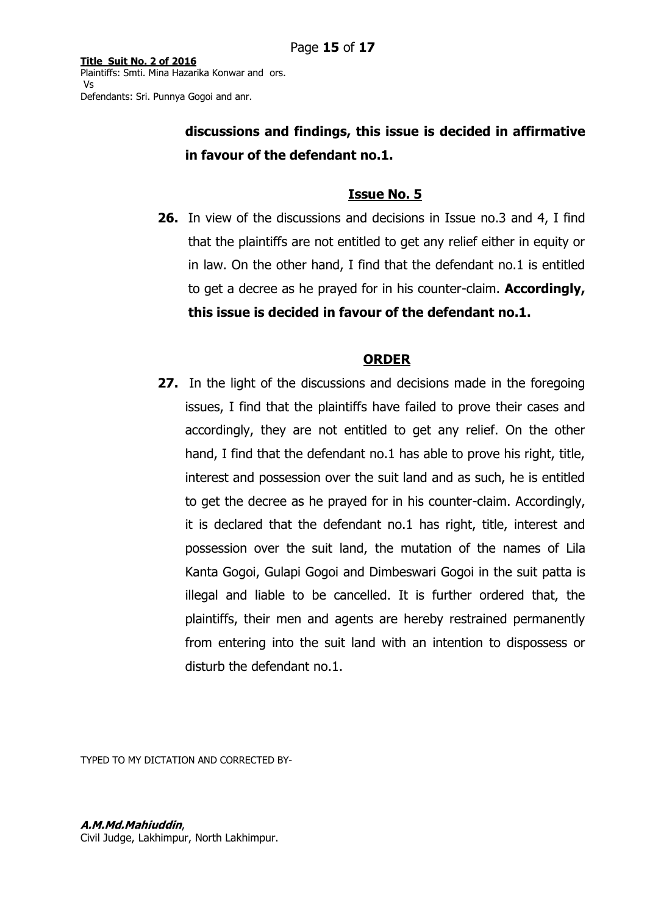> **discussions and findings, this issue is decided in affirmative in favour of the defendant no.1.**

# **Issue No. 5**

**26.** In view of the discussions and decisions in Issue no.3 and 4, I find that the plaintiffs are not entitled to get any relief either in equity or in law. On the other hand, I find that the defendant no.1 is entitled to get a decree as he prayed for in his counter-claim. **Accordingly, this issue is decided in favour of the defendant no.1.** 

# **ORDER**

**27.** In the light of the discussions and decisions made in the foregoing issues, I find that the plaintiffs have failed to prove their cases and accordingly, they are not entitled to get any relief. On the other hand, I find that the defendant no.1 has able to prove his right, title, interest and possession over the suit land and as such, he is entitled to get the decree as he prayed for in his counter-claim. Accordingly, it is declared that the defendant no.1 has right, title, interest and possession over the suit land, the mutation of the names of Lila Kanta Gogoi, Gulapi Gogoi and Dimbeswari Gogoi in the suit patta is illegal and liable to be cancelled. It is further ordered that, the plaintiffs, their men and agents are hereby restrained permanently from entering into the suit land with an intention to dispossess or disturb the defendant no.1.

TYPED TO MY DICTATION AND CORRECTED BY-

# **A.M.Md.Mahiuddin**,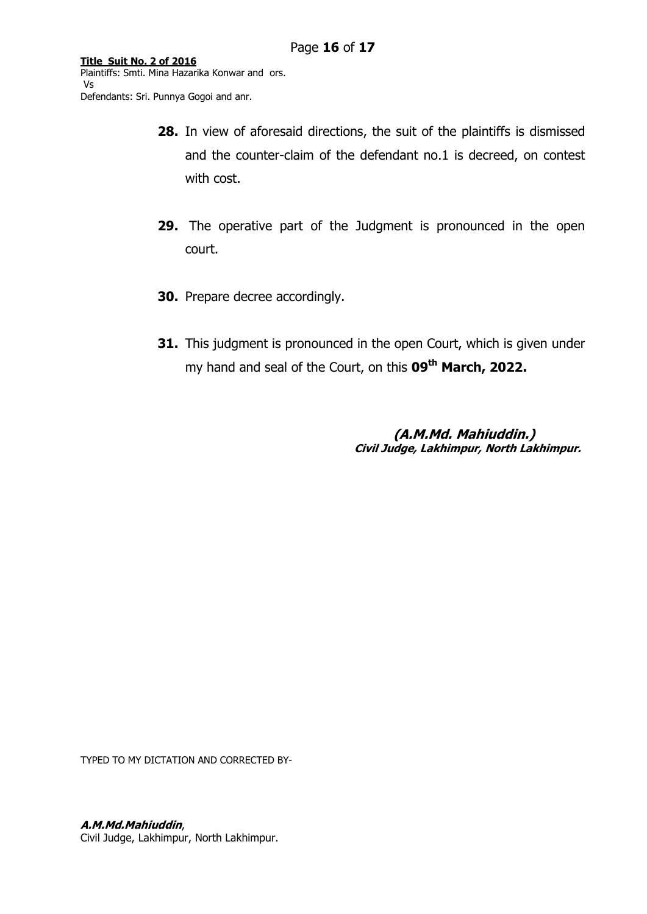- **28.** In view of aforesaid directions, the suit of the plaintiffs is dismissed and the counter-claim of the defendant no.1 is decreed, on contest with cost.
- **29.** The operative part of the Judgment is pronounced in the open court.
- **30.** Prepare decree accordingly.
- **31.** This judgment is pronounced in the open Court, which is given under my hand and seal of the Court, on this **09th March, 2022.**

**(A.M.Md. Mahiuddin.) Civil Judge, Lakhimpur, North Lakhimpur.**

TYPED TO MY DICTATION AND CORRECTED BY-